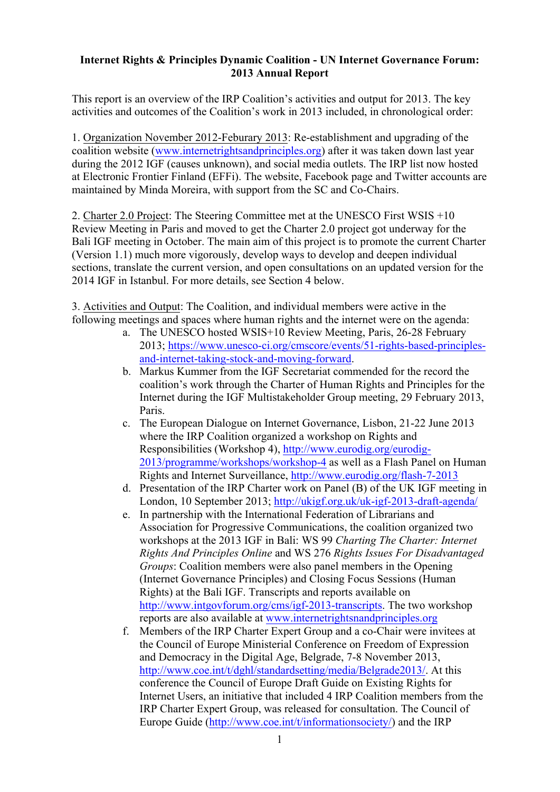## **Internet Rights & Principles Dynamic Coalition - UN Internet Governance Forum: 2013 Annual Report**

This report is an overview of the IRP Coalition's activities and output for 2013. The key activities and outcomes of the Coalition's work in 2013 included, in chronological order:

1. Organization November 2012-Feburary 2013: Re-establishment and upgrading of the coalition website (www.internetrightsandprinciples.org) after it was taken down last year during the 2012 IGF (causes unknown), and social media outlets. The IRP list now hosted at Electronic Frontier Finland (EFFi). The website, Facebook page and Twitter accounts are maintained by Minda Moreira, with support from the SC and Co-Chairs.

2. Charter 2.0 Project: The Steering Committee met at the UNESCO First WSIS +10 Review Meeting in Paris and moved to get the Charter 2.0 project got underway for the Bali IGF meeting in October. The main aim of this project is to promote the current Charter (Version 1.1) much more vigorously, develop ways to develop and deepen individual sections, translate the current version, and open consultations on an updated version for the 2014 IGF in Istanbul. For more details, see Section 4 below.

3. Activities and Output: The Coalition, and individual members were active in the following meetings and spaces where human rights and the internet were on the agenda:

- a. The UNESCO hosted WSIS+10 Review Meeting, Paris, 26-28 February 2013; https://www.unesco-ci.org/cmscore/events/51-rights-based-principlesand-internet-taking-stock-and-moving-forward.
- b. Markus Kummer from the IGF Secretariat commended for the record the coalition's work through the Charter of Human Rights and Principles for the Internet during the IGF Multistakeholder Group meeting, 29 February 2013, Paris.
- c. The European Dialogue on Internet Governance, Lisbon, 21-22 June 2013 where the IRP Coalition organized a workshop on Rights and Responsibilities (Workshop 4), http://www.eurodig.org/eurodig-2013/programme/workshops/workshop-4 as well as a Flash Panel on Human Rights and Internet Surveillance, http://www.eurodig.org/flash-7-2013
- d. Presentation of the IRP Charter work on Panel (B) of the UK IGF meeting in London, 10 September 2013; http://ukigf.org.uk/uk-igf-2013-draft-agenda/
- e. In partnership with the International Federation of Librarians and Association for Progressive Communications, the coalition organized two workshops at the 2013 IGF in Bali: WS 99 *Charting The Charter: Internet Rights And Principles Online* and WS 276 *Rights Issues For Disadvantaged Groups*: Coalition members were also panel members in the Opening (Internet Governance Principles) and Closing Focus Sessions (Human Rights) at the Bali IGF. Transcripts and reports available on http://www.intgovforum.org/cms/igf-2013-transcripts. The two workshop reports are also available at www.internetrightsnandprinciples.org
- f. Members of the IRP Charter Expert Group and a co-Chair were invitees at the Council of Europe Ministerial Conference on Freedom of Expression and Democracy in the Digital Age, Belgrade, 7-8 November 2013, http://www.coe.int/t/dghl/standardsetting/media/Belgrade2013/. At this conference the Council of Europe Draft Guide on Existing Rights for Internet Users, an initiative that included 4 IRP Coalition members from the IRP Charter Expert Group, was released for consultation. The Council of Europe Guide (http://www.coe.int/t/informationsociety/) and the IRP